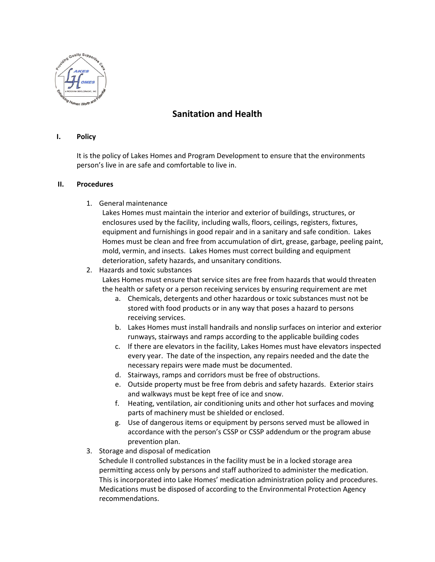

## **Sanitation and Health**

## **I. Policy**

It is the policy of Lakes Homes and Program Development to ensure that the environments person's live in are safe and comfortable to live in.

## **II. Procedures**

1. General maintenance

Lakes Homes must maintain the interior and exterior of buildings, structures, or enclosures used by the facility, including walls, floors, ceilings, registers, fixtures, equipment and furnishings in good repair and in a sanitary and safe condition. Lakes Homes must be clean and free from accumulation of dirt, grease, garbage, peeling paint, mold, vermin, and insects. Lakes Homes must correct building and equipment deterioration, safety hazards, and unsanitary conditions.

## 2. Hazards and toxic substances

Lakes Homes must ensure that service sites are free from hazards that would threaten the health or safety or a person receiving services by ensuring requirement are met

- a. Chemicals, detergents and other hazardous or toxic substances must not be stored with food products or in any way that poses a hazard to persons receiving services.
- b. Lakes Homes must install handrails and nonslip surfaces on interior and exterior runways, stairways and ramps according to the applicable building codes
- c. If there are elevators in the facility, Lakes Homes must have elevators inspected every year. The date of the inspection, any repairs needed and the date the necessary repairs were made must be documented.
- d. Stairways, ramps and corridors must be free of obstructions.
- e. Outside property must be free from debris and safety hazards. Exterior stairs and walkways must be kept free of ice and snow.
- f. Heating, ventilation, air conditioning units and other hot surfaces and moving parts of machinery must be shielded or enclosed.
- g. Use of dangerous items or equipment by persons served must be allowed in accordance with the person's CSSP or CSSP addendum or the program abuse prevention plan.
- 3. Storage and disposal of medication

Schedule II controlled substances in the facility must be in a locked storage area permitting access only by persons and staff authorized to administer the medication. This is incorporated into Lake Homes' medication administration policy and procedures. Medications must be disposed of according to the Environmental Protection Agency recommendations.